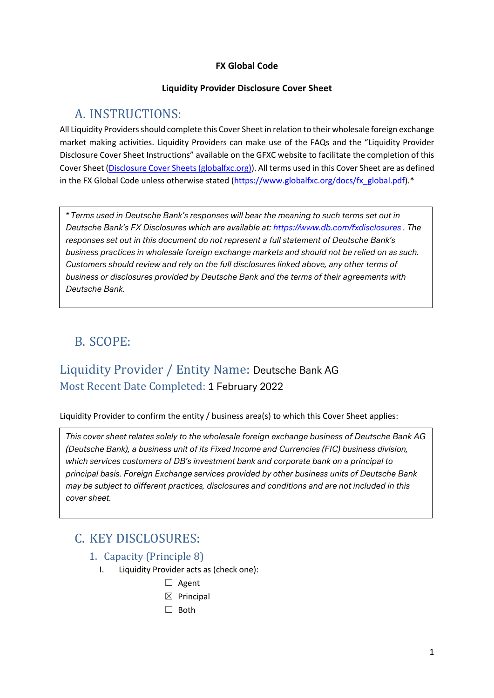#### **FX Global Code**

#### **Liquidity Provider Disclosure Cover Sheet**

# A. INSTRUCTIONS:

All Liquidity Providers should complete this Cover Sheet in relation to their wholesale foreign exchange market making activities. Liquidity Providers can make use of the FAQs and the "Liquidity Provider Disclosure Cover Sheet Instructions" available on the GFXC website to facilitate the completion of this Cover Sheet (Disclosure Cover [Sheets \(globalfxc.org\)\)](https://www.globalfxc.org/disclosure_cover_sheets.htm?m=78%7C455). All terms used in this Cover Sheet are as defined in the FX Global Code unless otherwise stated [\(https://www.globalfxc.org/docs/fx\\_global.pdf\)](https://www.globalfxc.org/docs/fx_global.pdf).\*

*\* Terms used in Deutsche Bank's responses will bear the meaning to such terms set out in Deutsche Bank's FX Disclosures which are available at[: https://www.db.com/fxdisclosures](https://www.db.com/fxdisclosures) . The responses set out in this document do not represent a full statement of Deutsche Bank's business practices in wholesale foreign exchange markets and should not be relied on as such. Customers should review and rely on the full disclosures linked above, any other terms of business or disclosures provided by Deutsche Bank and the terms of their agreements with Deutsche Bank.*

# B. SCOPE:

# Liquidity Provider / Entity Name: Deutsche Bank AG Most Recent Date Completed: 1 February 2022

Liquidity Provider to confirm the entity / business area(s) to which this Cover Sheet applies:

*This cover sheet relates solely to the wholesale foreign exchange business of Deutsche Bank AG (Deutsche Bank), a business unit of its Fixed Income and Currencies (FIC) business division, which services customers of DB's investment bank and corporate bank on a principal to principal basis. Foreign Exchange services provided by other business units of Deutsche Bank may be subject to different practices, disclosures and conditions and are not included in this cover sheet.*

# C. KEY DISCLOSURES:

- 1. Capacity (Principle 8)
	- I. Liquidity Provider acts as (check one):
		- □ Agent
		- $\boxtimes$  Principal
		- ☐ Both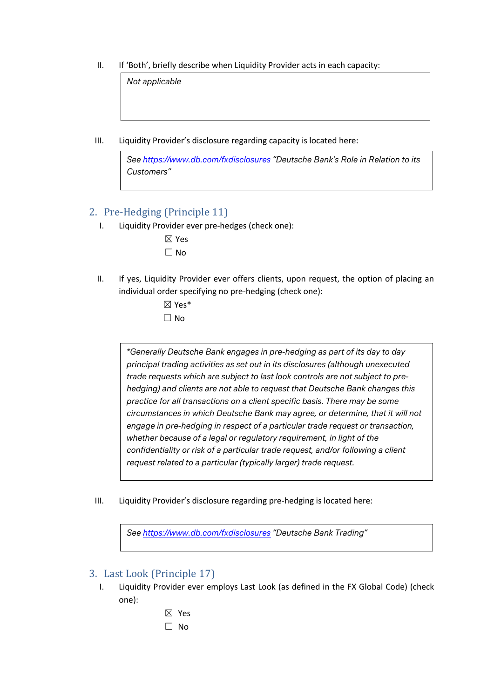II. If 'Both', briefly describe when Liquidity Provider acts in each capacity:

*Not applicable*

III. Liquidity Provider's disclosure regarding capacity is located here:

*See<https://www.db.com/fxdisclosures> "Deutsche Bank's Role in Relation to its Customers"*

## 2. Pre-Hedging (Principle 11)

I. Liquidity Provider ever pre-hedges (check one):

| J.     |
|--------|
| ٦<br>r |

- II. If yes, Liquidity Provider ever offers clients, upon request, the option of placing an individual order specifying no pre-hedging (check one):
	- ☒ Yes\* ☐ No

*\*Generally Deutsche Bank engages in pre-hedging as part of its day to day principal trading activities as set out in its disclosures (although unexecuted trade requests which are subject to last look controls are not subject to prehedging) and clients are not able to request that Deutsche Bank changes this practice for all transactions on a client specific basis. There may be some circumstances in which Deutsche Bank may agree, or determine, that it will not engage in pre-hedging in respect of a particular trade request or transaction, whether because of a legal or regulatory requirement, in light of the confidentiality or risk of a particular trade request, and/or following a client request related to a particular (typically larger) trade request.*

III. Liquidity Provider's disclosure regarding pre-hedging is located here:

*See<https://www.db.com/fxdisclosures> "Deutsche Bank Trading"*

## 3. Last Look (Principle 17)

- I. Liquidity Provider ever employs Last Look (as defined in the FX Global Code) (check one):
	- ☒ Yes
	- ☐ No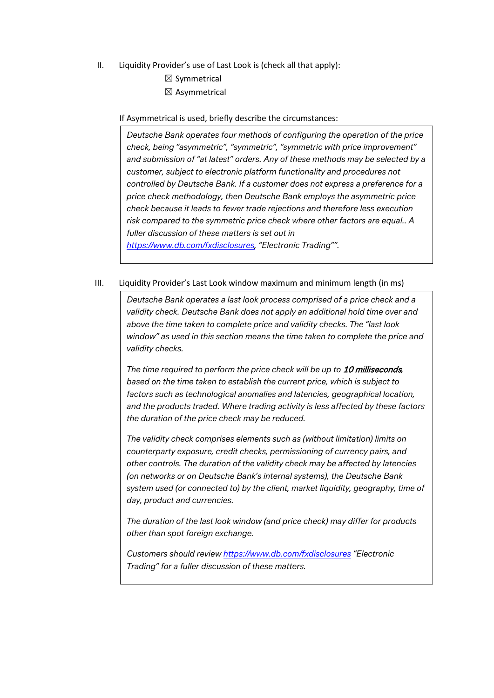- II. Liquidity Provider's use of Last Look is (check all that apply):
	- $\boxtimes$  Symmetrical  $\boxtimes$  Asymmetrical

If Asymmetrical is used, briefly describe the circumstances:

*Deutsche Bank operates four methods of configuring the operation of the price check, being "asymmetric", "symmetric", "symmetric with price improvement" and submission of "at latest" orders. Any of these methods may be selected by a customer, subject to electronic platform functionality and procedures not controlled by Deutsche Bank. If a customer does not express a preference for a price check methodology, then Deutsche Bank employs the asymmetric price check because it leads to fewer trade rejections and therefore less execution risk compared to the symmetric price check where other factors are equal.. A fuller discussion of these matters is set out in [https://www.db.com/fxdisclosures,](https://www.db.com/fxdisclosures) "Electronic Trading"".*

#### III. Liquidity Provider's Last Look window maximum and minimum length (in ms)

*Deutsche Bank operates a last look process comprised of a price check and a validity check. Deutsche Bank does not apply an additional hold time over and above the time taken to complete price and validity checks. The "last look window" as used in this section means the time taken to complete the price and validity checks.*

*The time required to perform the price check will be up to* 10 milliseconds*, based on the time taken to establish the current price, which is subject to factors such as technological anomalies and latencies, geographical location, and the products traded. Where trading activity is less affected by these factors the duration of the price check may be reduced.* 

*The validity check comprises elements such as (without limitation) limits on counterparty exposure, credit checks, permissioning of currency pairs, and other controls. The duration of the validity check may be affected by latencies (on networks or on Deutsche Bank's internal systems), the Deutsche Bank system used (or connected to) by the client, market liquidity, geography, time of day, product and currencies.* 

*The duration of the last look window (and price check) may differ for products other than spot foreign exchange.* 

*Customers should review<https://www.db.com/fxdisclosures> "Electronic Trading" for a fuller discussion of these matters.*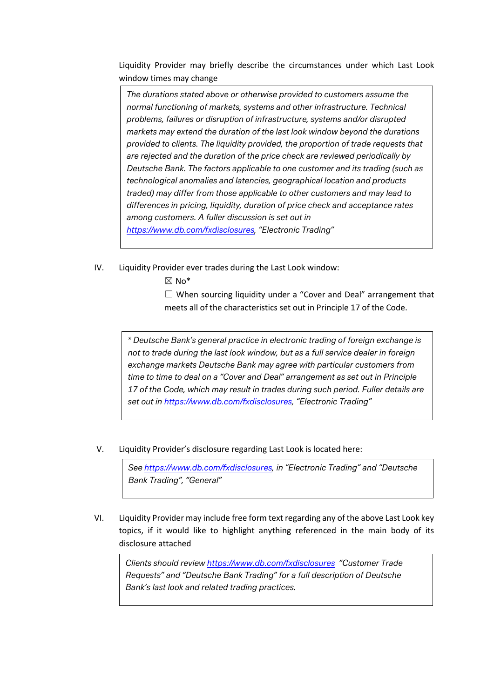Liquidity Provider may briefly describe the circumstances under which Last Look window times may change

*The durations stated above or otherwise provided to customers assume the normal functioning of markets, systems and other infrastructure. Technical problems, failures or disruption of infrastructure, systems and/or disrupted markets may extend the duration of the last look window beyond the durations provided to clients. The liquidity provided, the proportion of trade requests that are rejected and the duration of the price check are reviewed periodically by Deutsche Bank. The factors applicable to one customer and its trading (such as technological anomalies and latencies, geographical location and products traded) may differ from those applicable to other customers and may lead to differences in pricing, liquidity, duration of price check and acceptance rates among customers. A fuller discussion is set out in [https://www.db.com/fxdisclosures,](https://www.db.com/fxdisclosures) "Electronic Trading"*

- IV. Liquidity Provider ever trades during the Last Look window:
	- $\boxtimes$  No\*

 $\Box$  When sourcing liquidity under a "Cover and Deal" arrangement that meets all of the characteristics set out in Principle 17 of the Code.

*\* Deutsche Bank's general practice in electronic trading of foreign exchange is not to trade during the last look window, but as a full service dealer in foreign exchange markets Deutsche Bank may agree with particular customers from time to time to deal on a "Cover and Deal" arrangement as set out in Principle 17 of the Code, which may result in trades during such period. Fuller details are set out in [https://www.db.com/fxdisclosures,](https://www.db.com/fxdisclosures) "Electronic Trading"*

V. Liquidity Provider's disclosure regarding Last Look is located here:

*See [https://www.db.com/fxdisclosures,](https://www.db.com/fxdisclosures) in "Electronic Trading" and "Deutsche Bank Trading", "General"*

VI. Liquidity Provider may include free form text regarding any of the above Last Look key topics, if it would like to highlight anything referenced in the main body of its disclosure attached

*Clients should review<https://www.db.com/fxdisclosures>"Customer Trade Requests" and "Deutsche Bank Trading" for a full description of Deutsche Bank's last look and related trading practices.*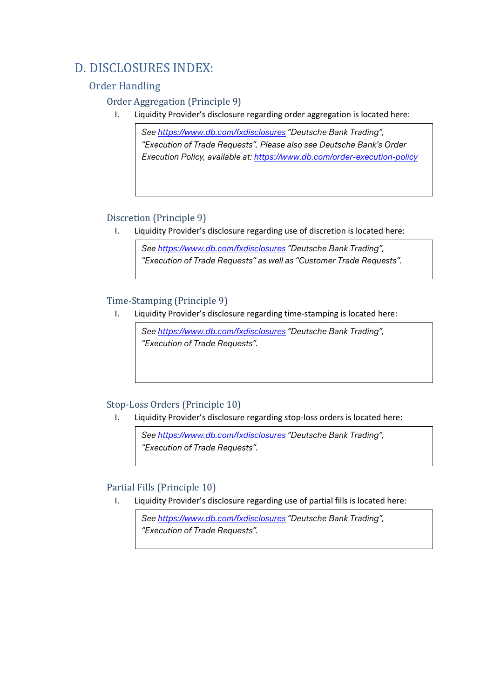# D. DISCLOSURES INDEX:

# Order Handling

## Order Aggregation (Principle 9)

I. Liquidity Provider's disclosure regarding order aggregation is located here:

*See<https://www.db.com/fxdisclosures> "Deutsche Bank Trading", "Execution of Trade Requests". Please also see Deutsche Bank's Order Execution Policy, available at:<https://www.db.com/order-execution-policy>*

#### Discretion (Principle 9)

I. Liquidity Provider's disclosure regarding use of discretion is located here:

*See<https://www.db.com/fxdisclosures> "Deutsche Bank Trading", "Execution of Trade Requests" as well as "Customer Trade Requests".*

# Time-Stamping (Principle 9)<br>L. Liquidity Provider's disclo

Liquidity Provider's disclosure regarding time-stamping is located here:

*See<https://www.db.com/fxdisclosures> "Deutsche Bank Trading", "Execution of Trade Requests".* 

#### Stop-Loss Orders (Principle 10)

I. Liquidity Provider's disclosure regarding stop-loss orders is located here:

*See<https://www.db.com/fxdisclosures> "Deutsche Bank Trading", "Execution of Trade Requests".* 

#### Partial Fills (Principle 10)

I. Liquidity Provider's disclosure regarding use of partial fills is located here:

*See<https://www.db.com/fxdisclosures> "Deutsche Bank Trading", "Execution of Trade Requests".*